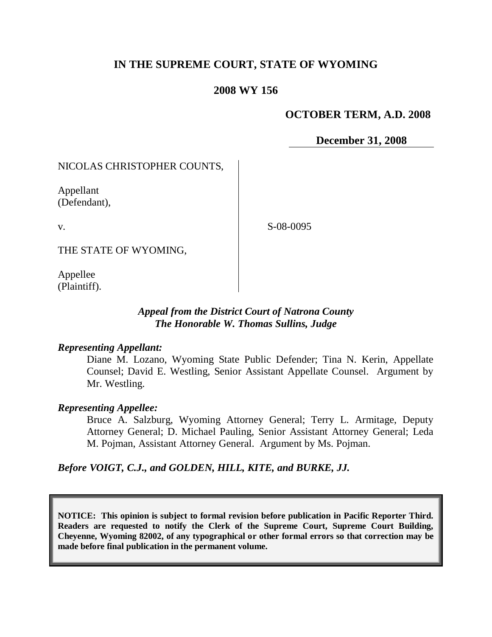# **IN THE SUPREME COURT, STATE OF WYOMING**

# **2008 WY 156**

## **OCTOBER TERM, A.D. 2008**

**December 31, 2008**

# NICOLAS CHRISTOPHER COUNTS,

Appellant (Defendant),

v.

S-08-0095

THE STATE OF WYOMING,

Appellee (Plaintiff).

# *Appeal from the District Court of Natrona County The Honorable W. Thomas Sullins, Judge*

### *Representing Appellant:*

Diane M. Lozano, Wyoming State Public Defender; Tina N. Kerin, Appellate Counsel; David E. Westling, Senior Assistant Appellate Counsel. Argument by Mr. Westling.

### *Representing Appellee:*

Bruce A. Salzburg, Wyoming Attorney General; Terry L. Armitage, Deputy Attorney General; D. Michael Pauling, Senior Assistant Attorney General; Leda M. Pojman, Assistant Attorney General. Argument by Ms. Pojman.

### *Before VOIGT, C.J., and GOLDEN, HILL, KITE, and BURKE, JJ.*

**NOTICE: This opinion is subject to formal revision before publication in Pacific Reporter Third. Readers are requested to notify the Clerk of the Supreme Court, Supreme Court Building, Cheyenne, Wyoming 82002, of any typographical or other formal errors so that correction may be made before final publication in the permanent volume.**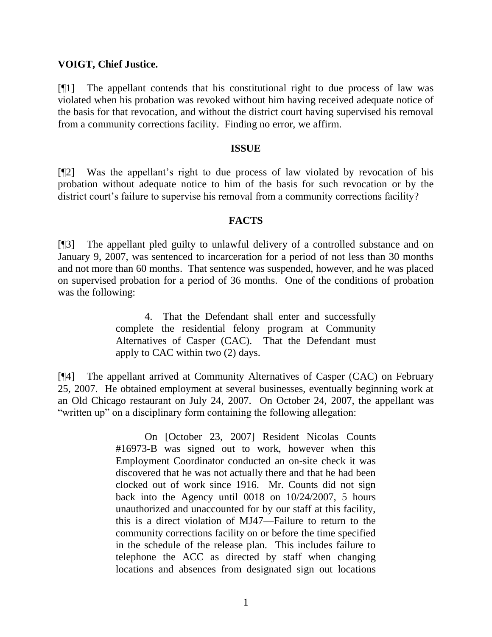### **VOIGT, Chief Justice.**

[¶1] The appellant contends that his constitutional right to due process of law was violated when his probation was revoked without him having received adequate notice of the basis for that revocation, and without the district court having supervised his removal from a community corrections facility. Finding no error, we affirm.

#### **ISSUE**

[¶2] Was the appellant's right to due process of law violated by revocation of his probation without adequate notice to him of the basis for such revocation or by the district court's failure to supervise his removal from a community corrections facility?

#### **FACTS**

[¶3] The appellant pled guilty to unlawful delivery of a controlled substance and on January 9, 2007, was sentenced to incarceration for a period of not less than 30 months and not more than 60 months. That sentence was suspended, however, and he was placed on supervised probation for a period of 36 months. One of the conditions of probation was the following:

> 4. That the Defendant shall enter and successfully complete the residential felony program at Community Alternatives of Casper (CAC). That the Defendant must apply to CAC within two (2) days.

[¶4] The appellant arrived at Community Alternatives of Casper (CAC) on February 25, 2007. He obtained employment at several businesses, eventually beginning work at an Old Chicago restaurant on July 24, 2007. On October 24, 2007, the appellant was "written up" on a disciplinary form containing the following allegation:

> On [October 23, 2007] Resident Nicolas Counts #16973-B was signed out to work, however when this Employment Coordinator conducted an on-site check it was discovered that he was not actually there and that he had been clocked out of work since 1916. Mr. Counts did not sign back into the Agency until 0018 on 10/24/2007, 5 hours unauthorized and unaccounted for by our staff at this facility, this is a direct violation of MJ47—Failure to return to the community corrections facility on or before the time specified in the schedule of the release plan. This includes failure to telephone the ACC as directed by staff when changing locations and absences from designated sign out locations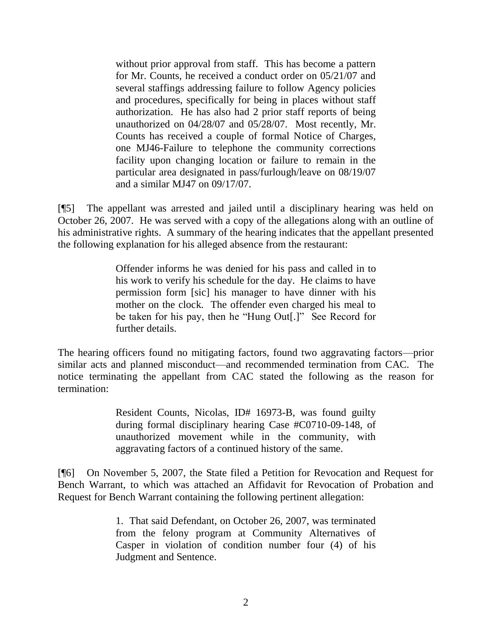without prior approval from staff. This has become a pattern for Mr. Counts, he received a conduct order on 05/21/07 and several staffings addressing failure to follow Agency policies and procedures, specifically for being in places without staff authorization. He has also had 2 prior staff reports of being unauthorized on 04/28/07 and 05/28/07. Most recently, Mr. Counts has received a couple of formal Notice of Charges, one MJ46-Failure to telephone the community corrections facility upon changing location or failure to remain in the particular area designated in pass/furlough/leave on 08/19/07 and a similar MJ47 on 09/17/07.

[¶5] The appellant was arrested and jailed until a disciplinary hearing was held on October 26, 2007. He was served with a copy of the allegations along with an outline of his administrative rights. A summary of the hearing indicates that the appellant presented the following explanation for his alleged absence from the restaurant:

> Offender informs he was denied for his pass and called in to his work to verify his schedule for the day. He claims to have permission form [sic] his manager to have dinner with his mother on the clock. The offender even charged his meal to be taken for his pay, then he "Hung Out[.]" See Record for further details.

The hearing officers found no mitigating factors, found two aggravating factors—prior similar acts and planned misconduct—and recommended termination from CAC. The notice terminating the appellant from CAC stated the following as the reason for termination:

> Resident Counts, Nicolas, ID# 16973-B, was found guilty during formal disciplinary hearing Case #C0710-09-148, of unauthorized movement while in the community, with aggravating factors of a continued history of the same.

[¶6] On November 5, 2007, the State filed a Petition for Revocation and Request for Bench Warrant, to which was attached an Affidavit for Revocation of Probation and Request for Bench Warrant containing the following pertinent allegation:

> 1. That said Defendant, on October 26, 2007, was terminated from the felony program at Community Alternatives of Casper in violation of condition number four (4) of his Judgment and Sentence.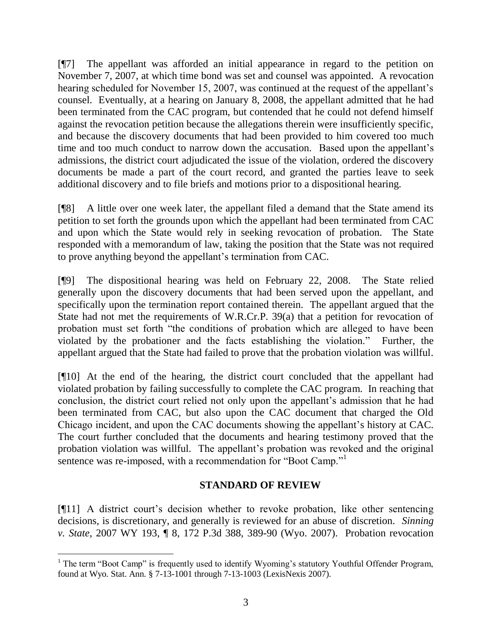[¶7] The appellant was afforded an initial appearance in regard to the petition on November 7, 2007, at which time bond was set and counsel was appointed. A revocation hearing scheduled for November 15, 2007, was continued at the request of the appellant's counsel. Eventually, at a hearing on January 8, 2008, the appellant admitted that he had been terminated from the CAC program, but contended that he could not defend himself against the revocation petition because the allegations therein were insufficiently specific, and because the discovery documents that had been provided to him covered too much time and too much conduct to narrow down the accusation. Based upon the appellant's admissions, the district court adjudicated the issue of the violation, ordered the discovery documents be made a part of the court record, and granted the parties leave to seek additional discovery and to file briefs and motions prior to a dispositional hearing.

[¶8] A little over one week later, the appellant filed a demand that the State amend its petition to set forth the grounds upon which the appellant had been terminated from CAC and upon which the State would rely in seeking revocation of probation. The State responded with a memorandum of law, taking the position that the State was not required to prove anything beyond the appellant's termination from CAC.

[¶9] The dispositional hearing was held on February 22, 2008. The State relied generally upon the discovery documents that had been served upon the appellant, and specifically upon the termination report contained therein. The appellant argued that the State had not met the requirements of W.R.Cr.P. 39(a) that a petition for revocation of probation must set forth "the conditions of probation which are alleged to have been violated by the probationer and the facts establishing the violation." Further, the appellant argued that the State had failed to prove that the probation violation was willful.

[¶10] At the end of the hearing, the district court concluded that the appellant had violated probation by failing successfully to complete the CAC program. In reaching that conclusion, the district court relied not only upon the appellant's admission that he had been terminated from CAC, but also upon the CAC document that charged the Old Chicago incident, and upon the CAC documents showing the appellant's history at CAC. The court further concluded that the documents and hearing testimony proved that the probation violation was willful. The appellant's probation was revoked and the original sentence was re-imposed, with a recommendation for "Boot Camp."

# **STANDARD OF REVIEW**

[¶11] A district court's decision whether to revoke probation, like other sentencing decisions, is discretionary, and generally is reviewed for an abuse of discretion. *Sinning v. State*, 2007 WY 193, ¶ 8, 172 P.3d 388, 389-90 (Wyo. 2007). Probation revocation

  $1$  The term "Boot Camp" is frequently used to identify Wyoming's statutory Youthful Offender Program, found at Wyo. Stat. Ann. § 7-13-1001 through 7-13-1003 (LexisNexis 2007).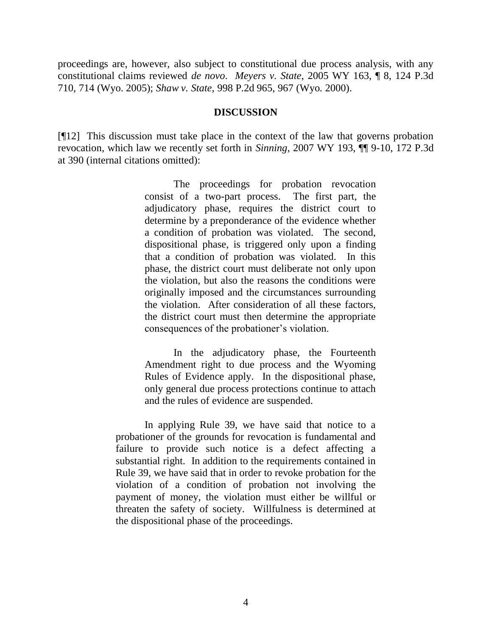proceedings are, however, also subject to constitutional due process analysis, with any constitutional claims reviewed *de novo*. *Meyers v. State*, 2005 WY 163, ¶ 8, 124 P.3d 710, 714 (Wyo. 2005); *Shaw v. State*, 998 P.2d 965, 967 (Wyo. 2000).

#### **DISCUSSION**

[¶12] This discussion must take place in the context of the law that governs probation revocation, which law we recently set forth in *Sinning*, 2007 WY 193, ¶¶ 9-10, 172 P.3d at 390 (internal citations omitted):

> The proceedings for probation revocation consist of a two-part process. The first part, the adjudicatory phase, requires the district court to determine by a preponderance of the evidence whether a condition of probation was violated. The second, dispositional phase, is triggered only upon a finding that a condition of probation was violated. In this phase, the district court must deliberate not only upon the violation, but also the reasons the conditions were originally imposed and the circumstances surrounding the violation. After consideration of all these factors, the district court must then determine the appropriate consequences of the probationer's violation.

> In the adjudicatory phase, the Fourteenth Amendment right to due process and the Wyoming Rules of Evidence apply. In the dispositional phase, only general due process protections continue to attach and the rules of evidence are suspended.

In applying Rule 39, we have said that notice to a probationer of the grounds for revocation is fundamental and failure to provide such notice is a defect affecting a substantial right. In addition to the requirements contained in Rule 39, we have said that in order to revoke probation for the violation of a condition of probation not involving the payment of money, the violation must either be willful or threaten the safety of society. Willfulness is determined at the dispositional phase of the proceedings.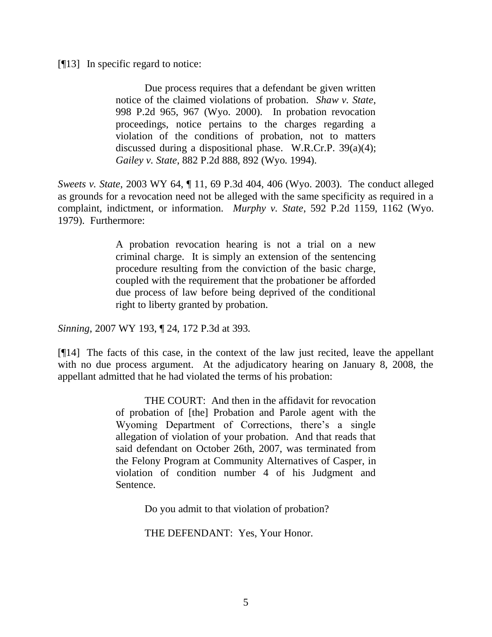#### [¶13] In specific regard to notice:

Due process requires that a defendant be given written notice of the claimed violations of probation. *Shaw v. State*, 998 P.2d 965, 967 (Wyo. 2000). In probation revocation proceedings, notice pertains to the charges regarding a violation of the conditions of probation, not to matters discussed during a dispositional phase. W.R.Cr.P. 39(a)(4); *Gailey v. State*, 882 P.2d 888, 892 (Wyo. 1994).

*Sweets v. State*, 2003 WY 64, ¶ 11, 69 P.3d 404, 406 (Wyo. 2003). The conduct alleged as grounds for a revocation need not be alleged with the same specificity as required in a complaint, indictment, or information. *Murphy v. State*, 592 P.2d 1159, 1162 (Wyo. 1979). Furthermore:

> A probation revocation hearing is not a trial on a new criminal charge. It is simply an extension of the sentencing procedure resulting from the conviction of the basic charge, coupled with the requirement that the probationer be afforded due process of law before being deprived of the conditional right to liberty granted by probation.

*Sinning*, 2007 WY 193, ¶ 24, 172 P.3d at 393.

[¶14] The facts of this case, in the context of the law just recited, leave the appellant with no due process argument. At the adjudicatory hearing on January 8, 2008, the appellant admitted that he had violated the terms of his probation:

> THE COURT: And then in the affidavit for revocation of probation of [the] Probation and Parole agent with the Wyoming Department of Corrections, there's a single allegation of violation of your probation. And that reads that said defendant on October 26th, 2007, was terminated from the Felony Program at Community Alternatives of Casper, in violation of condition number 4 of his Judgment and Sentence.

> > Do you admit to that violation of probation?

THE DEFENDANT: Yes, Your Honor.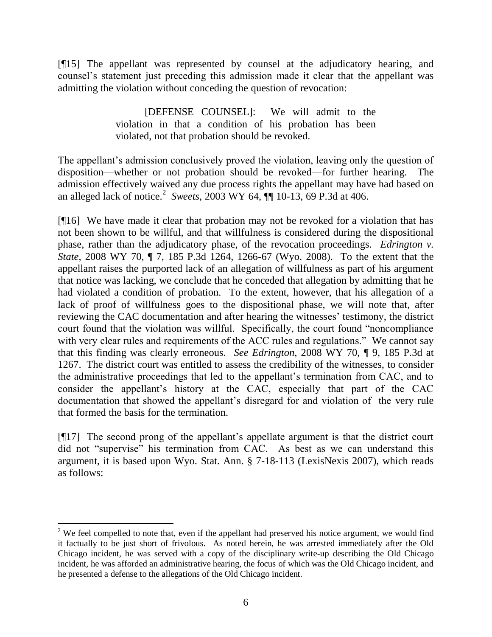[¶15] The appellant was represented by counsel at the adjudicatory hearing, and counsel's statement just preceding this admission made it clear that the appellant was admitting the violation without conceding the question of revocation:

> [DEFENSE COUNSEL]: We will admit to the violation in that a condition of his probation has been violated, not that probation should be revoked.

The appellant's admission conclusively proved the violation, leaving only the question of disposition—whether or not probation should be revoked—for further hearing. The admission effectively waived any due process rights the appellant may have had based on an alleged lack of notice.<sup>2</sup> Sweets, 2003 WY 64, **[1]** 10-13, 69 P.3d at 406.

[¶16] We have made it clear that probation may not be revoked for a violation that has not been shown to be willful, and that willfulness is considered during the dispositional phase, rather than the adjudicatory phase, of the revocation proceedings. *Edrington v. State*, 2008 WY 70, ¶ 7, 185 P.3d 1264, 1266-67 (Wyo. 2008). To the extent that the appellant raises the purported lack of an allegation of willfulness as part of his argument that notice was lacking, we conclude that he conceded that allegation by admitting that he had violated a condition of probation. To the extent, however, that his allegation of a lack of proof of willfulness goes to the dispositional phase, we will note that, after reviewing the CAC documentation and after hearing the witnesses' testimony, the district court found that the violation was willful. Specifically, the court found "noncompliance with very clear rules and requirements of the ACC rules and regulations." We cannot say that this finding was clearly erroneous. *See Edrington*, 2008 WY 70, ¶ 9, 185 P.3d at 1267. The district court was entitled to assess the credibility of the witnesses, to consider the administrative proceedings that led to the appellant's termination from CAC, and to consider the appellant's history at the CAC, especially that part of the CAC documentation that showed the appellant's disregard for and violation of the very rule that formed the basis for the termination.

[¶17] The second prong of the appellant's appellate argument is that the district court did not "supervise" his termination from CAC. As best as we can understand this argument, it is based upon Wyo. Stat. Ann. § 7-18-113 (LexisNexis 2007), which reads as follows:

 <sup>2</sup> We feel compelled to note that, even if the appellant had preserved his notice argument, we would find it factually to be just short of frivolous. As noted herein, he was arrested immediately after the Old Chicago incident, he was served with a copy of the disciplinary write-up describing the Old Chicago incident, he was afforded an administrative hearing, the focus of which was the Old Chicago incident, and he presented a defense to the allegations of the Old Chicago incident.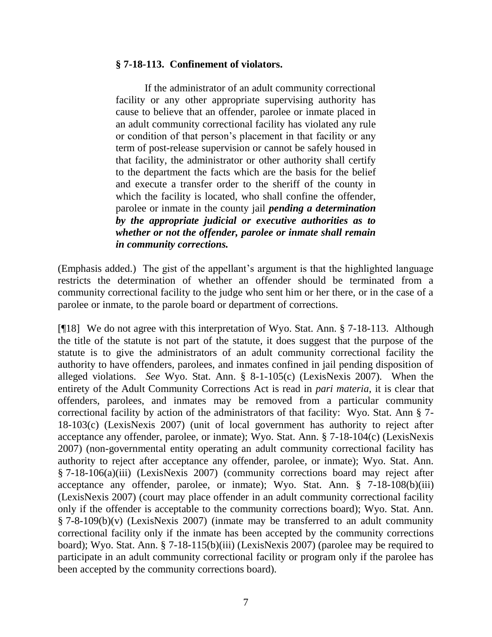### **§ 7-18-113. Confinement of violators.**

If the administrator of an adult community correctional facility or any other appropriate supervising authority has cause to believe that an offender, parolee or inmate placed in an adult community correctional facility has violated any rule or condition of that person's placement in that facility or any term of post-release supervision or cannot be safely housed in that facility, the administrator or other authority shall certify to the department the facts which are the basis for the belief and execute a transfer order to the sheriff of the county in which the facility is located, who shall confine the offender, parolee or inmate in the county jail *pending a determination by the appropriate judicial or executive authorities as to whether or not the offender, parolee or inmate shall remain in community corrections.*

(Emphasis added.) The gist of the appellant's argument is that the highlighted language restricts the determination of whether an offender should be terminated from a community correctional facility to the judge who sent him or her there, or in the case of a parolee or inmate, to the parole board or department of corrections.

[¶18] We do not agree with this interpretation of Wyo. Stat. Ann. § 7-18-113. Although the title of the statute is not part of the statute, it does suggest that the purpose of the statute is to give the administrators of an adult community correctional facility the authority to have offenders, parolees, and inmates confined in jail pending disposition of alleged violations. *See* Wyo. Stat. Ann. § 8-1-105(c) (LexisNexis 2007). When the entirety of the Adult Community Corrections Act is read in *pari materia*, it is clear that offenders, parolees, and inmates may be removed from a particular community correctional facility by action of the administrators of that facility: Wyo. Stat. Ann § 7- 18-103(c) (LexisNexis 2007) (unit of local government has authority to reject after acceptance any offender, parolee, or inmate); Wyo. Stat. Ann. § 7-18-104(c) (LexisNexis 2007) (non-governmental entity operating an adult community correctional facility has authority to reject after acceptance any offender, parolee, or inmate); Wyo. Stat. Ann. § 7-18-106(a)(iii) (LexisNexis 2007) (community corrections board may reject after acceptance any offender, parolee, or inmate); Wyo. Stat. Ann. § 7-18-108(b)(iii) (LexisNexis 2007) (court may place offender in an adult community correctional facility only if the offender is acceptable to the community corrections board); Wyo. Stat. Ann. § 7-8-109(b)(v) (LexisNexis 2007) (inmate may be transferred to an adult community correctional facility only if the inmate has been accepted by the community corrections board); Wyo. Stat. Ann. § 7-18-115(b)(iii) (LexisNexis 2007) (parolee may be required to participate in an adult community correctional facility or program only if the parolee has been accepted by the community corrections board).